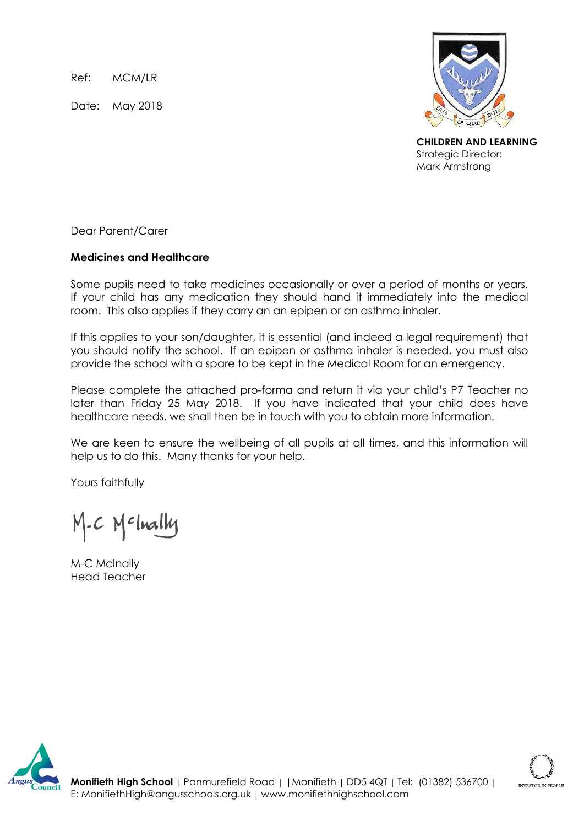Ref: MCM/LR

Date: May 2018



**CHILDREN AND LEARNING** Strategic Director: Mark Armstrong

Dear Parent/Carer

## **Medicines and Healthcare**

Some pupils need to take medicines occasionally or over a period of months or years. If your child has any medication they should hand it immediately into the medical room. This also applies if they carry an an epipen or an asthma inhaler.

If this applies to your son/daughter, it is essential (and indeed a legal requirement) that you should notify the school. If an epipen or asthma inhaler is needed, you must also provide the school with a spare to be kept in the Medical Room for an emergency.

Please complete the attached pro-forma and return it via your child's P7 Teacher no later than Friday 25 May 2018. If you have indicated that your child does have healthcare needs, we shall then be in touch with you to obtain more information.

We are keen to ensure the wellbeing of all pupils at all times, and this information will help us to do this. Many thanks for your help.

Yours faithfully

M.C Melnally

M-C McInally Head Teacher